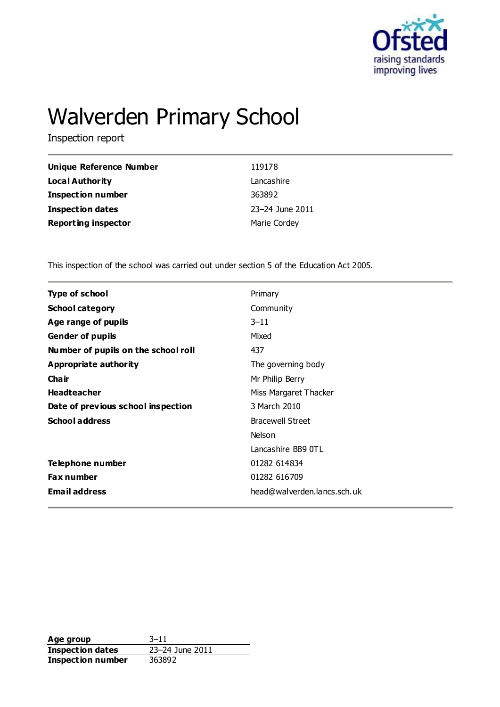

# Walverden Primary School

Inspection report

| Unique Reference Number    | 119178          |
|----------------------------|-----------------|
| <b>Local Authority</b>     | Lancashire      |
| <b>Inspection number</b>   | 363892          |
| <b>Inspection dates</b>    | 23-24 June 2011 |
| <b>Reporting inspector</b> | Marie Cordey    |

This inspection of the school was carried out under section 5 of the Education Act 2005.

| <b>Type of school</b>               | Primary                     |
|-------------------------------------|-----------------------------|
| <b>School category</b>              | Community                   |
| Age range of pupils                 | $3 - 11$                    |
| <b>Gender of pupils</b>             | Mixed                       |
| Number of pupils on the school roll | 437                         |
| Appropriate authority               | The governing body          |
| Cha ir                              | Mr Philip Berry             |
| <b>Headteacher</b>                  | Miss Margaret Thacker       |
| Date of previous school inspection  | 3 March 2010                |
| <b>School address</b>               | <b>Bracewell Street</b>     |
|                                     | <b>Nelson</b>               |
|                                     | Lancashire BB9 0TL          |
| Telephone number                    | 01282 614834                |
| <b>Fax number</b>                   | 01282 616709                |
| <b>Email address</b>                | head@walverden.lancs.sch.uk |
|                                     |                             |

Age group<br> **Inspection dates** 23–24 June 2011 **Inspection dates Inspection number** 363892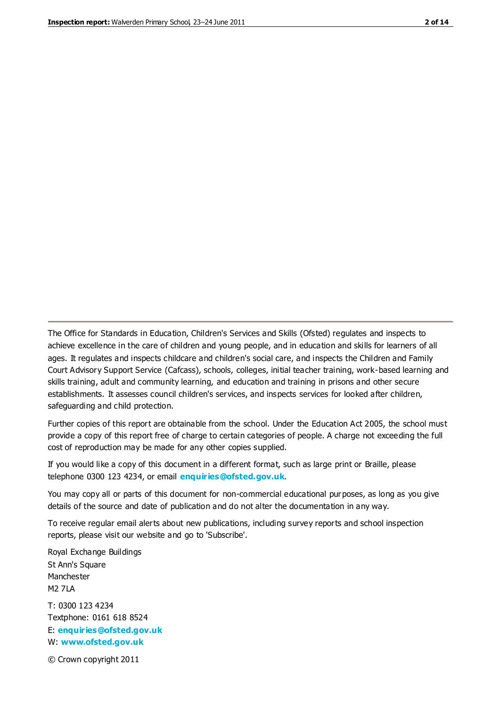The Office for Standards in Education, Children's Services and Skills (Ofsted) regulates and inspects to achieve excellence in the care of children and young people, and in education and skills for learners of all ages. It regulates and inspects childcare and children's social care, and inspects the Children and Family Court Advisory Support Service (Cafcass), schools, colleges, initial teacher training, work-based learning and skills training, adult and community learning, and education and training in prisons and other secure establishments. It assesses council children's services, and inspects services for looked after children, safeguarding and child protection.

Further copies of this report are obtainable from the school. Under the Education Act 2005, the school must provide a copy of this report free of charge to certain categories of people. A charge not exceeding the full cost of reproduction may be made for any other copies supplied.

If you would like a copy of this document in a different format, such as large print or Braille, please telephone 0300 123 4234, or email **[enquiries@ofsted.gov.uk](mailto:enquiries@ofsted.gov.uk)**.

You may copy all or parts of this document for non-commercial educational purposes, as long as you give details of the source and date of publication and do not alter the documentation in any way.

To receive regular email alerts about new publications, including survey reports and school inspection reports, please visit our website and go to 'Subscribe'.

Royal Exchange Buildings St Ann's Square Manchester M2 7LA T: 0300 123 4234 Textphone: 0161 618 8524 E: **[enquiries@ofsted.gov.uk](mailto:enquiries@ofsted.gov.uk)**

W: **[www.ofsted.gov.uk](http://www.ofsted.gov.uk/)**

© Crown copyright 2011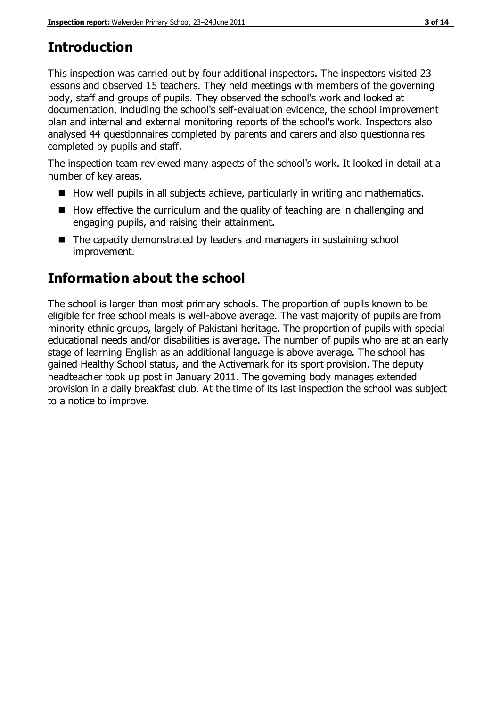# **Introduction**

This inspection was carried out by four additional inspectors. The inspectors visited 23 lessons and observed 15 teachers. They held meetings with members of the governing body, staff and groups of pupils. They observed the school's work and looked at documentation, including the school's self-evaluation evidence, the school improvement plan and internal and external monitoring reports of the school's work. Inspectors also analysed 44 questionnaires completed by parents and carers and also questionnaires completed by pupils and staff.

The inspection team reviewed many aspects of the school's work. It looked in detail at a number of key areas.

- $\blacksquare$  How well pupils in all subjects achieve, particularly in writing and mathematics.
- $\blacksquare$  How effective the curriculum and the quality of teaching are in challenging and engaging pupils, and raising their attainment.
- The capacity demonstrated by leaders and managers in sustaining school improvement.

# **Information about the school**

The school is larger than most primary schools. The proportion of pupils known to be eligible for free school meals is well-above average. The vast majority of pupils are from minority ethnic groups, largely of Pakistani heritage. The proportion of pupils with special educational needs and/or disabilities is average. The number of pupils who are at an early stage of learning English as an additional language is above average. The school has gained Healthy School status, and the Activemark for its sport provision. The deputy headteacher took up post in January 2011. The governing body manages extended provision in a daily breakfast club. At the time of its last inspection the school was subject to a notice to improve.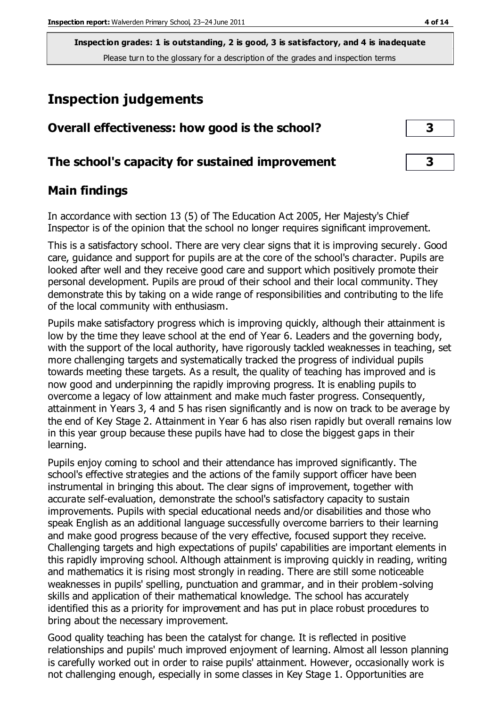# **Inspection judgements**

| Overall effectiveness: how good is the school?  | 3  |
|-------------------------------------------------|----|
| The school's capacity for sustained improvement | -3 |

# **Main findings**

In accordance with section 13 (5) of The Education Act 2005, Her Majesty's Chief Inspector is of the opinion that the school no longer requires significant improvement.

This is a satisfactory school. There are very clear signs that it is improving securely. Good care, guidance and support for pupils are at the core of the school's character. Pupils are looked after well and they receive good care and support which positively promote their personal development. Pupils are proud of their school and their local community. They demonstrate this by taking on a wide range of responsibilities and contributing to the life of the local community with enthusiasm.

Pupils make satisfactory progress which is improving quickly, although their attainment is low by the time they leave school at the end of Year 6. Leaders and the governing body, with the support of the local authority, have rigorously tackled weaknesses in teaching, set more challenging targets and systematically tracked the progress of individual pupils towards meeting these targets. As a result, the quality of teaching has improved and is now good and underpinning the rapidly improving progress. It is enabling pupils to overcome a legacy of low attainment and make much faster progress. Consequently, attainment in Years 3, 4 and 5 has risen significantly and is now on track to be average by the end of Key Stage 2. Attainment in Year 6 has also risen rapidly but overall remains low in this year group because these pupils have had to close the biggest gaps in their learning.

Pupils enjoy coming to school and their attendance has improved significantly. The school's effective strategies and the actions of the family support officer have been instrumental in bringing this about. The clear signs of improvement, together with accurate self-evaluation, demonstrate the school's satisfactory capacity to sustain improvements. Pupils with special educational needs and/or disabilities and those who speak English as an additional language successfully overcome barriers to their learning and make good progress because of the very effective, focused support they receive. Challenging targets and high expectations of pupils' capabilities are important elements in this rapidly improving school. Although attainment is improving quickly in reading, writing and mathematics it is rising most strongly in reading. There are still some noticeable weaknesses in pupils' spelling, punctuation and grammar, and in their problem-solving skills and application of their mathematical knowledge. The school has accurately identified this as a priority for improvement and has put in place robust procedures to bring about the necessary improvement.

Good quality teaching has been the catalyst for change. It is reflected in positive relationships and pupils' much improved enjoyment of learning. Almost all lesson planning is carefully worked out in order to raise pupils' attainment. However, occasionally work is not challenging enough, especially in some classes in Key Stage 1. Opportunities are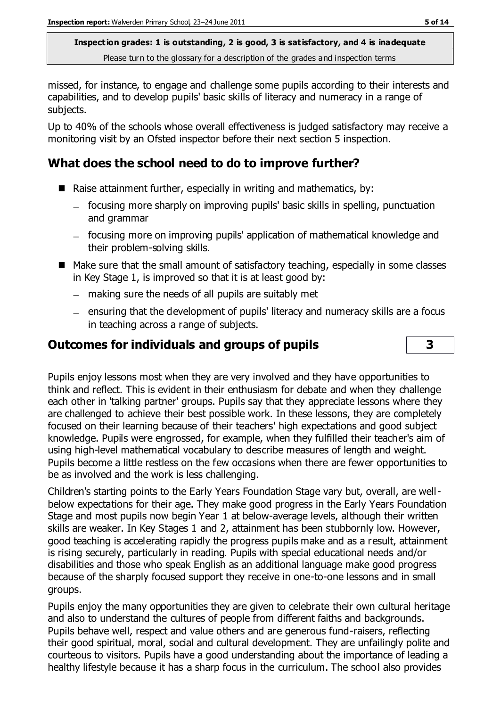missed, for instance, to engage and challenge some pupils according to their interests and capabilities, and to develop pupils' basic skills of literacy and numeracy in a range of subjects.

Up to 40% of the schools whose overall effectiveness is judged satisfactory may receive a monitoring visit by an Ofsted inspector before their next section 5 inspection.

# **What does the school need to do to improve further?**

- Raise attainment further, especially in writing and mathematics, by:
	- focusing more sharply on improving pupils' basic skills in spelling, punctuation and grammar
	- focusing more on improving pupils' application of mathematical knowledge and their problem-solving skills.
- Make sure that the small amount of satisfactory teaching, especially in some classes in Key Stage 1, is improved so that it is at least good by:
	- making sure the needs of all pupils are suitably met
	- ensuring that the development of pupils' literacy and numeracy skills are a focus in teaching across a range of subjects.

## **Outcomes for individuals and groups of pupils 3**

Pupils enjoy lessons most when they are very involved and they have opportunities to think and reflect. This is evident in their enthusiasm for debate and when they challenge each other in 'talking partner' groups. Pupils say that they appreciate lessons where they are challenged to achieve their best possible work. In these lessons, they are completely focused on their learning because of their teachers' high expectations and good subject knowledge. Pupils were engrossed, for example, when they fulfilled their teacher's aim of using high-level mathematical vocabulary to describe measures of length and weight. Pupils become a little restless on the few occasions when there are fewer opportunities to be as involved and the work is less challenging.

Children's starting points to the Early Years Foundation Stage vary but, overall, are wellbelow expectations for their age. They make good progress in the Early Years Foundation Stage and most pupils now begin Year 1 at below-average levels, although their written skills are weaker. In Key Stages 1 and 2, attainment has been stubbornly low. However, good teaching is accelerating rapidly the progress pupils make and as a result, attainment is rising securely, particularly in reading. Pupils with special educational needs and/or disabilities and those who speak English as an additional language make good progress because of the sharply focused support they receive in one-to-one lessons and in small groups.

Pupils enjoy the many opportunities they are given to celebrate their own cultural heritage and also to understand the cultures of people from different faiths and backgrounds. Pupils behave well, respect and value others and are generous fund-raisers, reflecting their good spiritual, moral, social and cultural development. They are unfailingly polite and courteous to visitors. Pupils have a good understanding about the importance of leading a healthy lifestyle because it has a sharp focus in the curriculum. The school also provides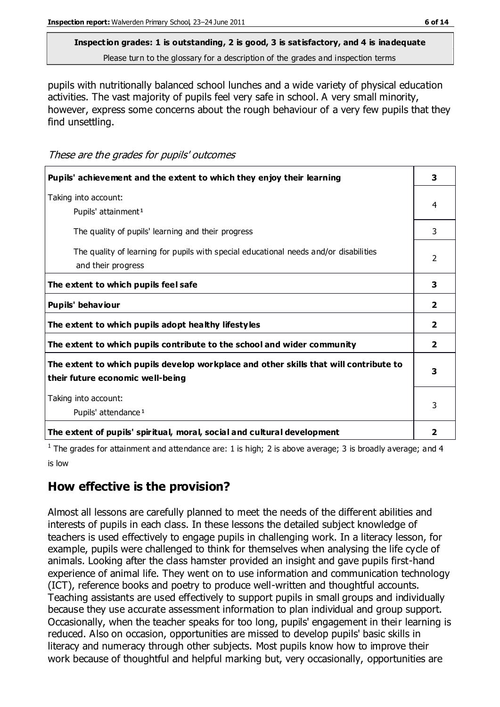# **Inspection grades: 1 is outstanding, 2 is good, 3 is satisfactory, and 4 is inadequate**

Please turn to the glossary for a description of the grades and inspection terms

pupils with nutritionally balanced school lunches and a wide variety of physical education activities. The vast majority of pupils feel very safe in school. A very small minority, however, express some concerns about the rough behaviour of a very few pupils that they find unsettling.

These are the grades for pupils' outcomes

| Pupils' achievement and the extent to which they enjoy their learning                                                     | 3              |
|---------------------------------------------------------------------------------------------------------------------------|----------------|
| Taking into account:<br>Pupils' attainment <sup>1</sup>                                                                   | 4              |
| The quality of pupils' learning and their progress                                                                        | 3              |
| The quality of learning for pupils with special educational needs and/or disabilities<br>and their progress               |                |
| The extent to which pupils feel safe                                                                                      | 3              |
| Pupils' behaviour                                                                                                         | $\mathbf{2}$   |
| The extent to which pupils adopt healthy lifestyles                                                                       | $\overline{2}$ |
| The extent to which pupils contribute to the school and wider community                                                   | $\overline{2}$ |
| The extent to which pupils develop workplace and other skills that will contribute to<br>their future economic well-being | 3              |
| Taking into account:<br>Pupils' attendance <sup>1</sup>                                                                   |                |
| The extent of pupils' spiritual, moral, social and cultural development                                                   | 2              |

<sup>1</sup> The grades for attainment and attendance are: 1 is high; 2 is above average; 3 is broadly average; and 4 is low

# **How effective is the provision?**

Almost all lessons are carefully planned to meet the needs of the different abilities and interests of pupils in each class. In these lessons the detailed subject knowledge of teachers is used effectively to engage pupils in challenging work. In a literacy lesson, for example, pupils were challenged to think for themselves when analysing the life cycle of animals. Looking after the class hamster provided an insight and gave pupils first-hand experience of animal life. They went on to use information and communication technology (ICT), reference books and poetry to produce well-written and thoughtful accounts. Teaching assistants are used effectively to support pupils in small groups and individually because they use accurate assessment information to plan individual and group support. Occasionally, when the teacher speaks for too long, pupils' engagement in their learning is reduced. Also on occasion, opportunities are missed to develop pupils' basic skills in literacy and numeracy through other subjects. Most pupils know how to improve their work because of thoughtful and helpful marking but, very occasionally, opportunities are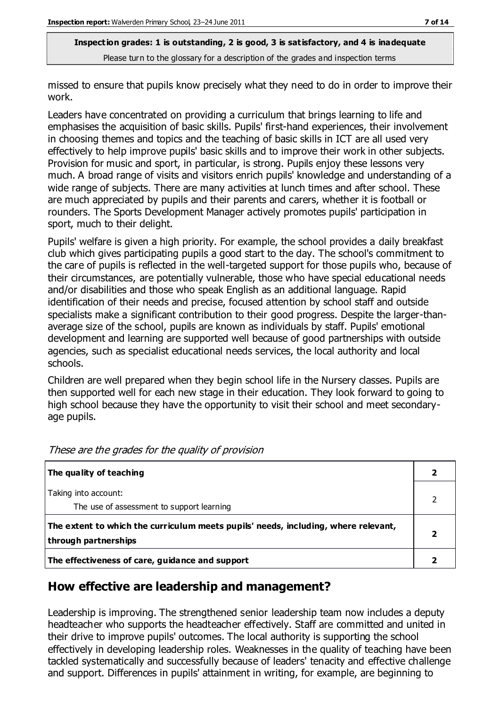missed to ensure that pupils know precisely what they need to do in order to improve their work.

Leaders have concentrated on providing a curriculum that brings learning to life and emphasises the acquisition of basic skills. Pupils' first-hand experiences, their involvement in choosing themes and topics and the teaching of basic skills in ICT are all used very effectively to help improve pupils' basic skills and to improve their work in other subjects. Provision for music and sport, in particular, is strong. Pupils enjoy these lessons very much. A broad range of visits and visitors enrich pupils' knowledge and understanding of a wide range of subjects. There are many activities at lunch times and after school. These are much appreciated by pupils and their parents and carers, whether it is football or rounders. The Sports Development Manager actively promotes pupils' participation in sport, much to their delight.

Pupils' welfare is given a high priority. For example, the school provides a daily breakfast club which gives participating pupils a good start to the day. The school's commitment to the care of pupils is reflected in the well-targeted support for those pupils who, because of their circumstances, are potentially vulnerable, those who have special educational needs and/or disabilities and those who speak English as an additional language. Rapid identification of their needs and precise, focused attention by school staff and outside specialists make a significant contribution to their good progress. Despite the larger-thanaverage size of the school, pupils are known as individuals by staff. Pupils' emotional development and learning are supported well because of good partnerships with outside agencies, such as specialist educational needs services, the local authority and local schools.

Children are well prepared when they begin school life in the Nursery classes. Pupils are then supported well for each new stage in their education. They look forward to going to high school because they have the opportunity to visit their school and meet secondaryage pupils.

| The quality of teaching                                                                                    |  |
|------------------------------------------------------------------------------------------------------------|--|
| Taking into account:<br>The use of assessment to support learning                                          |  |
| The extent to which the curriculum meets pupils' needs, including, where relevant,<br>through partnerships |  |
| The effectiveness of care, guidance and support                                                            |  |

These are the grades for the quality of provision

## **How effective are leadership and management?**

Leadership is improving. The strengthened senior leadership team now includes a deputy headteacher who supports the headteacher effectively. Staff are committed and united in their drive to improve pupils' outcomes. The local authority is supporting the school effectively in developing leadership roles. Weaknesses in the quality of teaching have been tackled systematically and successfully because of leaders' tenacity and effective challenge and support. Differences in pupils' attainment in writing, for example, are beginning to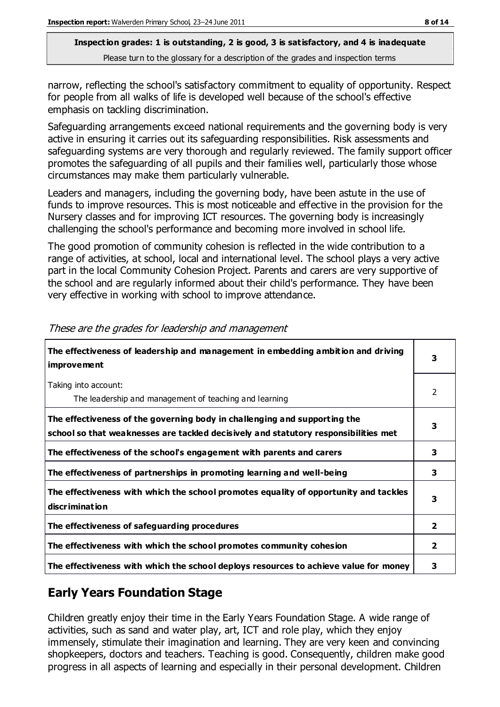narrow, reflecting the school's satisfactory commitment to equality of opportunity. Respect for people from all walks of life is developed well because of the school's effective emphasis on tackling discrimination.

Safeguarding arrangements exceed national requirements and the governing body is very active in ensuring it carries out its safeguarding responsibilities. Risk assessments and safeguarding systems are very thorough and regularly reviewed. The family support officer promotes the safeguarding of all pupils and their families well, particularly those whose circumstances may make them particularly vulnerable.

Leaders and managers, including the governing body, have been astute in the use of funds to improve resources. This is most noticeable and effective in the provision for the Nursery classes and for improving ICT resources. The governing body is increasingly challenging the school's performance and becoming more involved in school life.

The good promotion of community cohesion is reflected in the wide contribution to a range of activities, at school, local and international level. The school plays a very active part in the local Community Cohesion Project. Parents and carers are very supportive of the school and are regularly informed about their child's performance. They have been very effective in working with school to improve attendance.

| The effectiveness of leadership and management in embedding ambition and driving<br><i>improvement</i>                                                           |                |
|------------------------------------------------------------------------------------------------------------------------------------------------------------------|----------------|
| Taking into account:<br>The leadership and management of teaching and learning                                                                                   | 2              |
| The effectiveness of the governing body in challenging and supporting the<br>school so that weaknesses are tackled decisively and statutory responsibilities met | 3              |
| The effectiveness of the school's engagement with parents and carers                                                                                             | 3              |
| The effectiveness of partnerships in promoting learning and well-being                                                                                           | 3              |
| The effectiveness with which the school promotes equality of opportunity and tackles<br>discrimination                                                           | 3              |
| The effectiveness of safeguarding procedures                                                                                                                     | $\overline{2}$ |
| The effectiveness with which the school promotes community cohesion                                                                                              | 2              |
| The effectiveness with which the school deploys resources to achieve value for money                                                                             | 3              |

These are the grades for leadership and management

# **Early Years Foundation Stage**

Children greatly enjoy their time in the Early Years Foundation Stage. A wide range of activities, such as sand and water play, art, ICT and role play, which they enjoy immensely, stimulate their imagination and learning. They are very keen and convincing shopkeepers, doctors and teachers. Teaching is good. Consequently, children make good progress in all aspects of learning and especially in their personal development. Children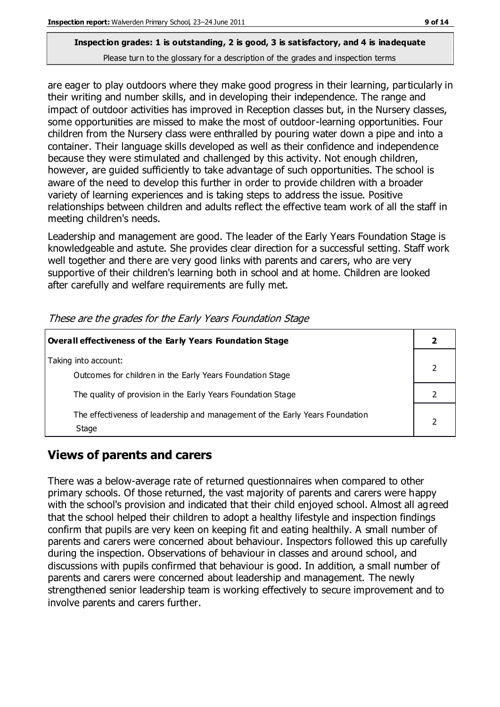are eager to play outdoors where they make good progress in their learning, particularly in their writing and number skills, and in developing their independence. The range and impact of outdoor activities has improved in Reception classes but, in the Nursery classes, some opportunities are missed to make the most of outdoor-learning opportunities. Four children from the Nursery class were enthralled by pouring water down a pipe and into a container. Their language skills developed as well as their confidence and independence because they were stimulated and challenged by this activity. Not enough children, however, are guided sufficiently to take advantage of such opportunities. The school is aware of the need to develop this further in order to provide children with a broader variety of learning experiences and is taking steps to address the issue. Positive relationships between children and adults reflect the effective team work of all the staff in meeting children's needs.

Leadership and management are good. The leader of the Early Years Foundation Stage is knowledgeable and astute. She provides clear direction for a successful setting. Staff work well together and there are very good links with parents and carers, who are very supportive of their children's learning both in school and at home. Children are looked after carefully and welfare requirements are fully met.

| Overall effectiveness of the Early Years Foundation Stage                             |  |
|---------------------------------------------------------------------------------------|--|
| Taking into account:<br>Outcomes for children in the Early Years Foundation Stage     |  |
| The quality of provision in the Early Years Foundation Stage                          |  |
| The effectiveness of leadership and management of the Early Years Foundation<br>Stage |  |

These are the grades for the Early Years Foundation Stage

# **Views of parents and carers**

There was a below-average rate of returned questionnaires when compared to other primary schools. Of those returned, the vast majority of parents and carers were happy with the school's provision and indicated that their child enjoyed school. Almost all agreed that the school helped their children to adopt a healthy lifestyle and inspection findings confirm that pupils are very keen on keeping fit and eating healthily. A small number of parents and carers were concerned about behaviour. Inspectors followed this up carefully during the inspection. Observations of behaviour in classes and around school, and discussions with pupils confirmed that behaviour is good. In addition, a small number of parents and carers were concerned about leadership and management. The newly strengthened senior leadership team is working effectively to secure improvement and to involve parents and carers further.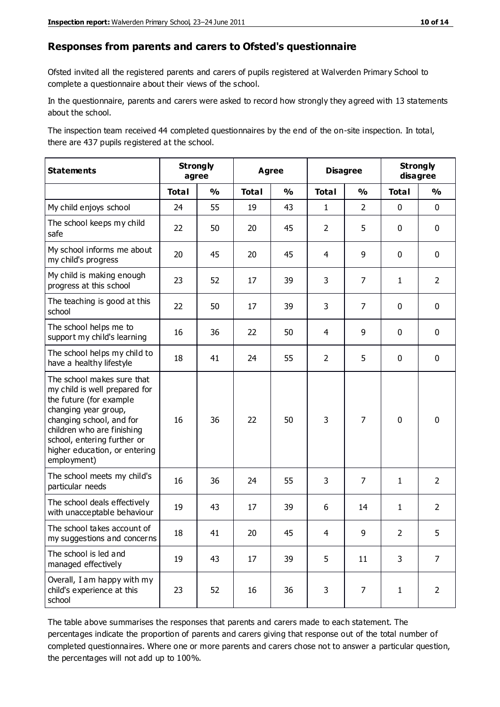#### **Responses from parents and carers to Ofsted's questionnaire**

Ofsted invited all the registered parents and carers of pupils registered at Walverden Primary School to complete a questionnaire about their views of the school.

In the questionnaire, parents and carers were asked to record how strongly they agreed with 13 statements about the school.

The inspection team received 44 completed questionnaires by the end of the on-site inspection. In total, there are 437 pupils registered at the school.

| <b>Statements</b>                                                                                                                                                                                                                                       | <b>Strongly</b><br>agree |               | <b>Agree</b> |               | <b>Disagree</b> |                | <b>Strongly</b><br>disagree |                |
|---------------------------------------------------------------------------------------------------------------------------------------------------------------------------------------------------------------------------------------------------------|--------------------------|---------------|--------------|---------------|-----------------|----------------|-----------------------------|----------------|
|                                                                                                                                                                                                                                                         | <b>Total</b>             | $\frac{1}{2}$ | <b>Total</b> | $\frac{0}{0}$ | <b>Total</b>    | $\frac{0}{0}$  | <b>Total</b>                | $\frac{0}{0}$  |
| My child enjoys school                                                                                                                                                                                                                                  | 24                       | 55            | 19           | 43            | $\mathbf{1}$    | $\overline{2}$ | $\mathbf 0$                 | $\mathbf 0$    |
| The school keeps my child<br>safe                                                                                                                                                                                                                       | 22                       | 50            | 20           | 45            | $\overline{2}$  | 5              | $\mathbf 0$                 | $\mathbf 0$    |
| My school informs me about<br>my child's progress                                                                                                                                                                                                       | 20                       | 45            | 20           | 45            | 4               | 9              | $\mathbf 0$                 | $\mathbf 0$    |
| My child is making enough<br>progress at this school                                                                                                                                                                                                    | 23                       | 52            | 17           | 39            | 3               | $\overline{7}$ | $\mathbf{1}$                | $\overline{2}$ |
| The teaching is good at this<br>school                                                                                                                                                                                                                  | 22                       | 50            | 17           | 39            | 3               | 7              | $\mathbf 0$                 | $\mathbf 0$    |
| The school helps me to<br>support my child's learning                                                                                                                                                                                                   | 16                       | 36            | 22           | 50            | 4               | 9              | $\mathbf 0$                 | $\mathbf 0$    |
| The school helps my child to<br>have a healthy lifestyle                                                                                                                                                                                                | 18                       | 41            | 24           | 55            | $\overline{2}$  | 5              | $\mathbf 0$                 | $\mathbf 0$    |
| The school makes sure that<br>my child is well prepared for<br>the future (for example<br>changing year group,<br>changing school, and for<br>children who are finishing<br>school, entering further or<br>higher education, or entering<br>employment) | 16                       | 36            | 22           | 50            | 3               | 7              | $\mathbf 0$                 | $\mathbf 0$    |
| The school meets my child's<br>particular needs                                                                                                                                                                                                         | 16                       | 36            | 24           | 55            | 3               | 7              | $\mathbf{1}$                | $\overline{2}$ |
| The school deals effectively<br>with unacceptable behaviour                                                                                                                                                                                             | 19                       | 43            | 17           | 39            | 6               | 14             | $\mathbf{1}$                | $\overline{2}$ |
| The school takes account of<br>my suggestions and concerns                                                                                                                                                                                              | 18                       | 41            | 20           | 45            | 4               | $\mathsf q$    | $\overline{2}$              | 5              |
| The school is led and<br>managed effectively                                                                                                                                                                                                            | 19                       | 43            | 17           | 39            | 5               | 11             | 3                           | $\overline{7}$ |
| Overall, I am happy with my<br>child's experience at this<br>school                                                                                                                                                                                     | 23                       | 52            | 16           | 36            | 3               | $\overline{7}$ | $\mathbf{1}$                | $\overline{2}$ |

The table above summarises the responses that parents and carers made to each statement. The percentages indicate the proportion of parents and carers giving that response out of the total number of completed questionnaires. Where one or more parents and carers chose not to answer a particular question, the percentages will not add up to 100%.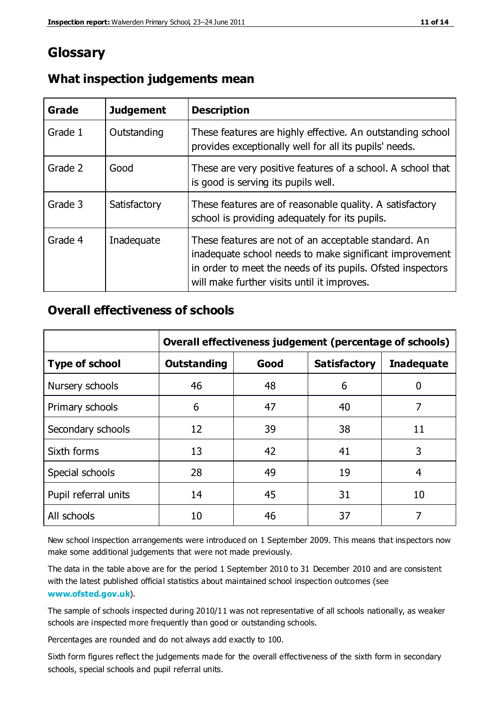# **Glossary**

| Grade   | <b>Judgement</b> | <b>Description</b>                                                                                                                                                                                                            |
|---------|------------------|-------------------------------------------------------------------------------------------------------------------------------------------------------------------------------------------------------------------------------|
| Grade 1 | Outstanding      | These features are highly effective. An outstanding school<br>provides exceptionally well for all its pupils' needs.                                                                                                          |
| Grade 2 | Good             | These are very positive features of a school. A school that<br>is good is serving its pupils well.                                                                                                                            |
| Grade 3 | Satisfactory     | These features are of reasonable quality. A satisfactory<br>school is providing adequately for its pupils.                                                                                                                    |
| Grade 4 | Inadequate       | These features are not of an acceptable standard. An<br>inadequate school needs to make significant improvement<br>in order to meet the needs of its pupils. Ofsted inspectors<br>will make further visits until it improves. |

## **What inspection judgements mean**

## **Overall effectiveness of schools**

|                       | Overall effectiveness judgement (percentage of schools) |      |                     |                   |
|-----------------------|---------------------------------------------------------|------|---------------------|-------------------|
| <b>Type of school</b> | <b>Outstanding</b>                                      | Good | <b>Satisfactory</b> | <b>Inadequate</b> |
| Nursery schools       | 46                                                      | 48   | 6                   |                   |
| Primary schools       | 6                                                       | 47   | 40                  | 7                 |
| Secondary schools     | 12                                                      | 39   | 38                  | 11                |
| Sixth forms           | 13                                                      | 42   | 41                  | 3                 |
| Special schools       | 28                                                      | 49   | 19                  | 4                 |
| Pupil referral units  | 14                                                      | 45   | 31                  | 10                |
| All schools           | 10                                                      | 46   | 37                  |                   |

New school inspection arrangements were introduced on 1 September 2009. This means that inspectors now make some additional judgements that were not made previously.

The data in the table above are for the period 1 September 2010 to 31 December 2010 and are consistent with the latest published official statistics about maintained school inspection outcomes (see **[www.ofsted.gov.uk](http://www.ofsted.gov.uk/)**).

The sample of schools inspected during 2010/11 was not representative of all schools nationally, as weaker schools are inspected more frequently than good or outstanding schools.

Percentages are rounded and do not always add exactly to 100.

Sixth form figures reflect the judgements made for the overall effectiveness of the sixth form in secondary schools, special schools and pupil referral units.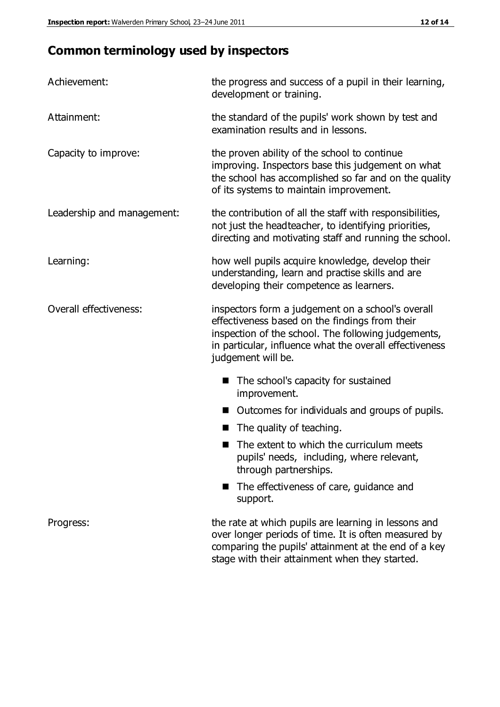# **Common terminology used by inspectors**

| Achievement:               | the progress and success of a pupil in their learning,<br>development or training.                                                                                                                                                          |  |  |
|----------------------------|---------------------------------------------------------------------------------------------------------------------------------------------------------------------------------------------------------------------------------------------|--|--|
| Attainment:                | the standard of the pupils' work shown by test and<br>examination results and in lessons.                                                                                                                                                   |  |  |
| Capacity to improve:       | the proven ability of the school to continue<br>improving. Inspectors base this judgement on what<br>the school has accomplished so far and on the quality<br>of its systems to maintain improvement.                                       |  |  |
| Leadership and management: | the contribution of all the staff with responsibilities,<br>not just the headteacher, to identifying priorities,<br>directing and motivating staff and running the school.                                                                  |  |  |
| Learning:                  | how well pupils acquire knowledge, develop their<br>understanding, learn and practise skills and are<br>developing their competence as learners.                                                                                            |  |  |
| Overall effectiveness:     | inspectors form a judgement on a school's overall<br>effectiveness based on the findings from their<br>inspection of the school. The following judgements,<br>in particular, influence what the overall effectiveness<br>judgement will be. |  |  |
|                            | The school's capacity for sustained<br>improvement.                                                                                                                                                                                         |  |  |
|                            | Outcomes for individuals and groups of pupils.                                                                                                                                                                                              |  |  |
|                            | The quality of teaching.                                                                                                                                                                                                                    |  |  |
|                            | The extent to which the curriculum meets<br>pupils' needs, including, where relevant,<br>through partnerships.                                                                                                                              |  |  |
|                            | The effectiveness of care, guidance and<br>support.                                                                                                                                                                                         |  |  |
| Progress:                  | the rate at which pupils are learning in lessons and<br>over longer periods of time. It is often measured by<br>comparing the pupils' attainment at the end of a key                                                                        |  |  |

stage with their attainment when they started.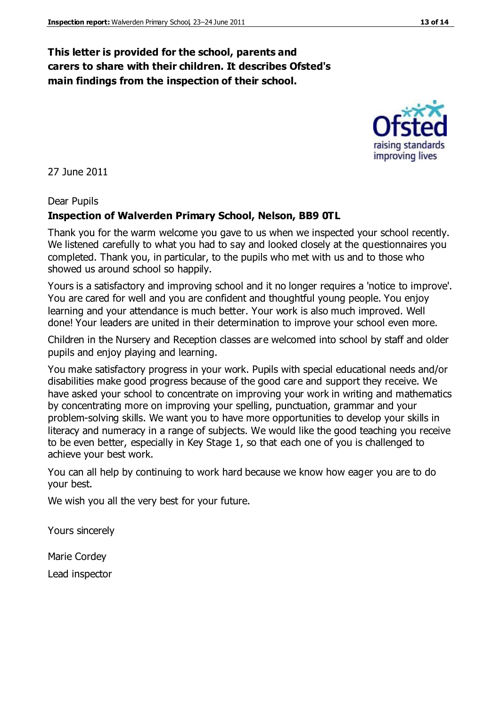## **This letter is provided for the school, parents and carers to share with their children. It describes Ofsted's main findings from the inspection of their school.**

27 June 2011

#### Dear Pupils

#### **Inspection of Walverden Primary School, Nelson, BB9 0TL**

Thank you for the warm welcome you gave to us when we inspected your school recently. We listened carefully to what you had to say and looked closely at the questionnaires you completed. Thank you, in particular, to the pupils who met with us and to those who showed us around school so happily.

Yours is a satisfactory and improving school and it no longer requires a 'notice to improve'. You are cared for well and you are confident and thoughtful young people. You enjoy learning and your attendance is much better. Your work is also much improved. Well done! Your leaders are united in their determination to improve your school even more.

Children in the Nursery and Reception classes are welcomed into school by staff and older pupils and enjoy playing and learning.

You make satisfactory progress in your work. Pupils with special educational needs and/or disabilities make good progress because of the good care and support they receive. We have asked your school to concentrate on improving your work in writing and mathematics by concentrating more on improving your spelling, punctuation, grammar and your problem-solving skills. We want you to have more opportunities to develop your skills in literacy and numeracy in a range of subjects. We would like the good teaching you receive to be even better, especially in Key Stage 1, so that each one of you is challenged to achieve your best work.

You can all help by continuing to work hard because we know how eager you are to do your best.

We wish you all the very best for your future.

Yours sincerely

Marie Cordey Lead inspector